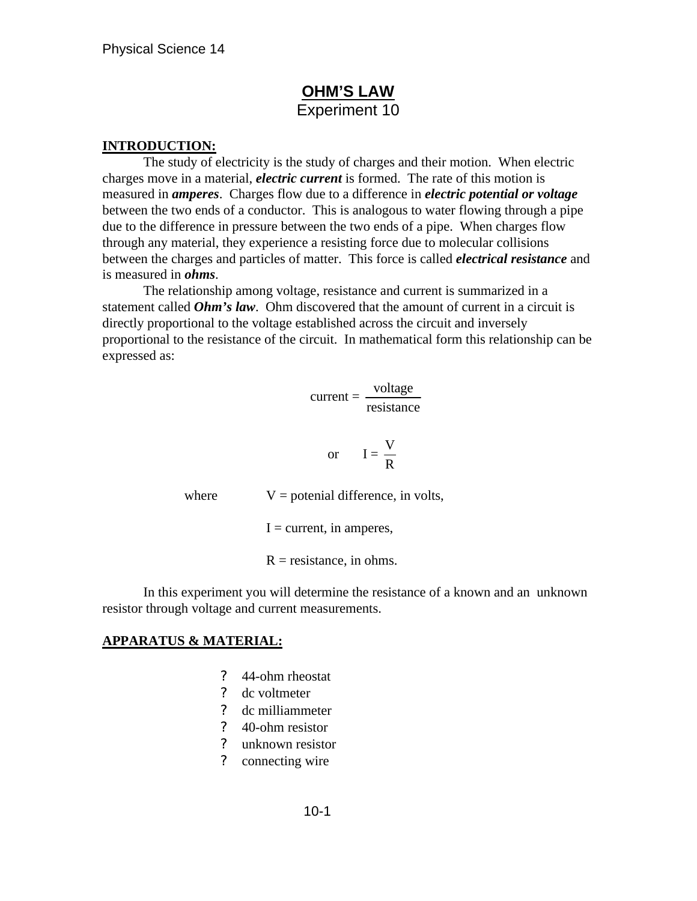# **OHM'S LAW** Experiment 10

### **INTRODUCTION:**

The study of electricity is the study of charges and their motion. When electric charges move in a material, *electric current* is formed. The rate of this motion is measured in *amperes*. Charges flow due to a difference in *electric potential or voltage* between the two ends of a conductor. This is analogous to water flowing through a pipe due to the difference in pressure between the two ends of a pipe. When charges flow through any material, they experience a resisting force due to molecular collisions between the charges and particles of matter. This force is called *electrical resistance* and is measured in *ohms*.

The relationship among voltage, resistance and current is summarized in a statement called *Ohm's law*. Ohm discovered that the amount of current in a circuit is directly proportional to the voltage established across the circuit and inversely proportional to the resistance of the circuit. In mathematical form this relationship can be expressed as:

$$
current = \frac{voltage}{resistance}
$$

$$
or \tI = \frac{V}{R}
$$

where  $V =$  potenial difference, in volts,

 $I =$  current, in amperes,

 $R =$  resistance, in ohms.

In this experiment you will determine the resistance of a known and an unknown resistor through voltage and current measurements.

#### **APPARATUS & MATERIAL:**

- ? 44-ohm rheostat
- ? dc voltmeter
- ? dc milliammeter
- ? 40-ohm resistor
- ? unknown resistor
- ? connecting wire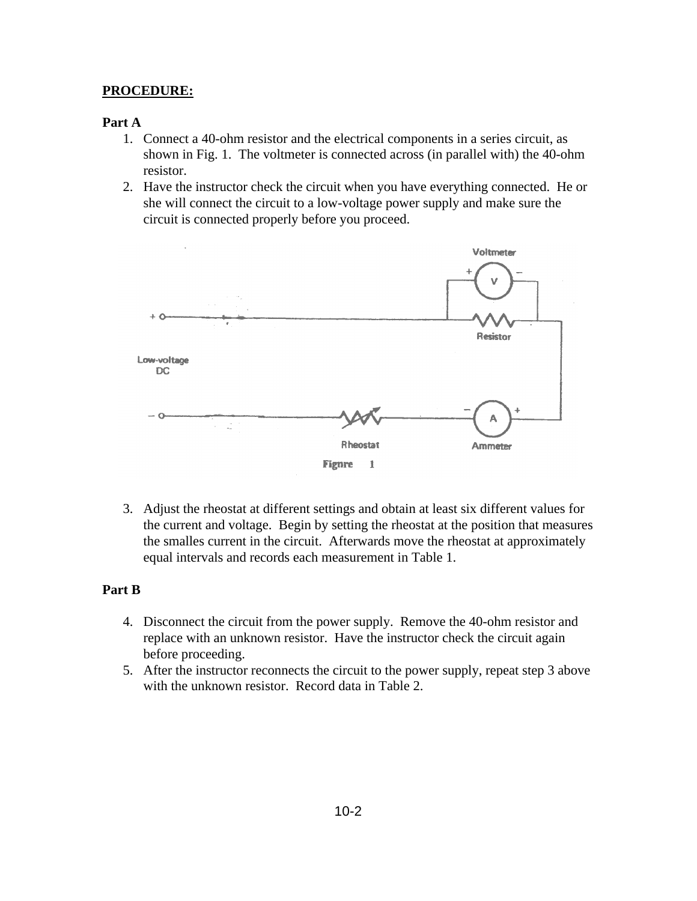### **PROCEDURE:**

### **Part A**

- 1. Connect a 40-ohm resistor and the electrical components in a series circuit, as shown in Fig. 1. The voltmeter is connected across (in parallel with) the 40-ohm resistor.
- 2. Have the instructor check the circuit when you have everything connected. He or she will connect the circuit to a low-voltage power supply and make sure the circuit is connected properly before you proceed.



3. Adjust the rheostat at different settings and obtain at least six different values for the current and voltage. Begin by setting the rheostat at the position that measures the smalles current in the circuit. Afterwards move the rheostat at approximately equal intervals and records each measurement in Table 1.

### **Part B**

- 4. Disconnect the circuit from the power supply. Remove the 40-ohm resistor and replace with an unknown resistor. Have the instructor check the circuit again before proceeding.
- 5. After the instructor reconnects the circuit to the power supply, repeat step 3 above with the unknown resistor. Record data in Table 2.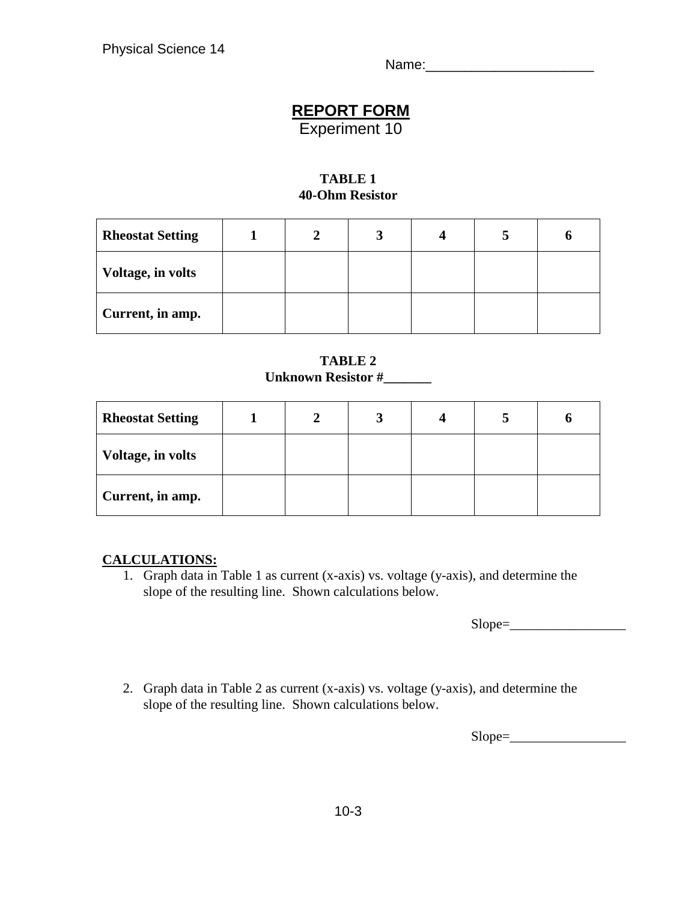Name:

# **REPORT FORM**

Experiment 10

## **TABLE 1 40-Ohm Resistor**

| <b>Rheostat Setting</b>  | σ |  |  |
|--------------------------|---|--|--|
| <b>Voltage, in volts</b> |   |  |  |
| Current, in amp.         |   |  |  |

## **TABLE 2 Unknown Resistor #\_\_\_\_\_\_\_**

| <b>Rheostat Setting</b>  |  |  |  |
|--------------------------|--|--|--|
| <b>Voltage, in volts</b> |  |  |  |
| Current, in amp.         |  |  |  |

## **CALCULATIONS:**

1. Graph data in Table 1 as current (x-axis) vs. voltage (y-axis), and determine the slope of the resulting line. Shown calculations below.

 $Slope =$ 

2. Graph data in Table 2 as current (x-axis) vs. voltage (y-axis), and determine the slope of the resulting line. Shown calculations below.

 $Slope =$